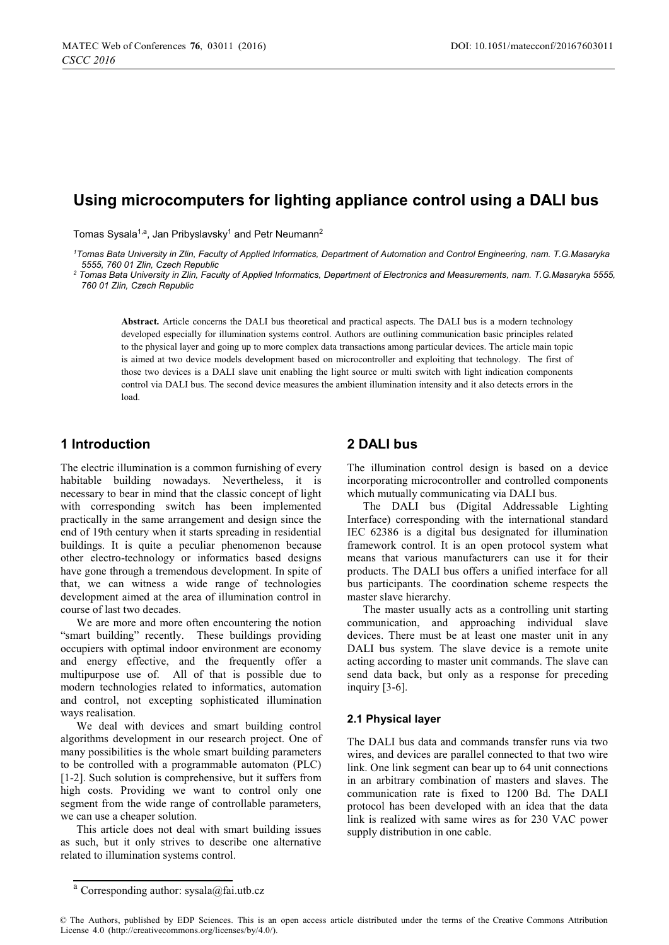# **Using microcomputers for lighting appliance control using a DALI bus**

Tomas Sysala<sup>1,a</sup>, Jan Pribyslavsky<sup>1</sup> and Petr Neumann<sup>2</sup>

*1 Tomas Bata University in Zlin, Faculty of Applied Informatics, Department of Automation and Control Engineering, nam. T.G.Masaryka 5555, 760 01 Zlin, Czech Republic 2*

 *Tomas Bata University in Zlin, Faculty of Applied Informatics, Department of Electronics and Measurements, nam. T.G.Masaryka 5555, 760 01 Zlin, Czech Republic* 

**Abstract.** Article concerns the DALI bus theoretical and practical aspects. The DALI bus is a modern technology developed especially for illumination systems control. Authors are outlining communication basic principles related to the physical layer and going up to more complex data transactions among particular devices. The article main topic is aimed at two device models development based on microcontroller and exploiting that technology. The first of those two devices is a DALI slave unit enabling the light source or multi switch with light indication components control via DALI bus. The second device measures the ambient illumination intensity and it also detects errors in the load.

# **1 Introduction**

The electric illumination is a common furnishing of every habitable building nowadays. Nevertheless, it is necessary to bear in mind that the classic concept of light with corresponding switch has been implemented practically in the same arrangement and design since the end of 19th century when it starts spreading in residential buildings. It is quite a peculiar phenomenon because other electro-technology or informatics based designs have gone through a tremendous development. In spite of that, we can witness a wide range of technologies development aimed at the area of illumination control in course of last two decades.

We are more and more often encountering the notion "smart building" recently. These buildings providing occupiers with optimal indoor environment are economy and energy effective, and the frequently offer a multipurpose use of. All of that is possible due to modern technologies related to informatics, automation and control, not excepting sophisticated illumination ways realisation.

We deal with devices and smart building control algorithms development in our research project. One of many possibilities is the whole smart building parameters to be controlled with a programmable automaton (PLC) [1-2]. Such solution is comprehensive, but it suffers from high costs. Providing we want to control only one segment from the wide range of controllable parameters, we can use a cheaper solution.

This article does not deal with smart building issues as such, but it only strives to describe one alternative related to illumination systems control.

# **2 DALI bus**

The illumination control design is based on a device incorporating microcontroller and controlled components which mutually communicating via DALI bus.

The DALI bus (Digital Addressable Lighting Interface) corresponding with the international standard IEC 62386 is a digital bus designated for illumination framework control. It is an open protocol system what means that various manufacturers can use it for their products. The DALI bus offers a unified interface for all bus participants. The coordination scheme respects the master slave hierarchy.

The master usually acts as a controlling unit starting communication, and approaching individual slave devices. There must be at least one master unit in any DALI bus system. The slave device is a remote unite acting according to master unit commands. The slave can send data back, but only as a response for preceding inquiry [3-6].

#### **2.1 Physical layer**

The DALI bus data and commands transfer runs via two wires, and devices are parallel connected to that two wire link. One link segment can bear up to 64 unit connections in an arbitrary combination of masters and slaves. The communication rate is fixed to 1200 Bd. The DALI protocol has been developed with an idea that the data link is realized with same wires as for 230 VAC power supply distribution in one cable.

<sup>&</sup>lt;sup>a</sup> Corresponding author: sysala@fai.utb.cz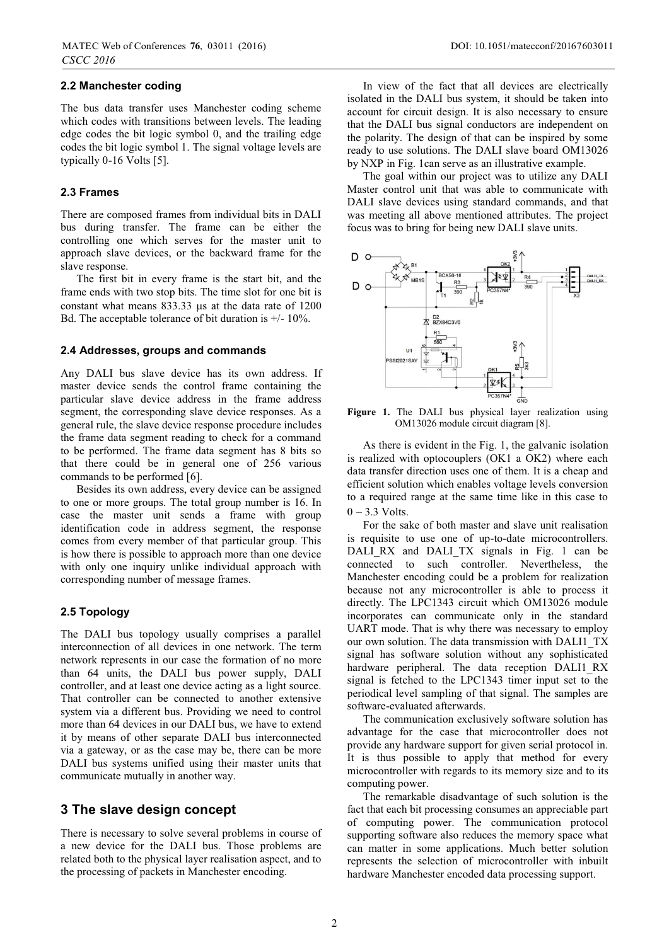### **2.2 Manchester coding**

The bus data transfer uses Manchester coding scheme which codes with transitions between levels. The leading edge codes the bit logic symbol 0, and the trailing edge codes the bit logic symbol 1. The signal voltage levels are typically 0-16 Volts [5].

### **2.3 Frames**

There are composed frames from individual bits in DALI bus during transfer. The frame can be either the controlling one which serves for the master unit to approach slave devices, or the backward frame for the slave response.

The first bit in every frame is the start bit, and the frame ends with two stop bits. The time slot for one bit is constant what means  $833.33 \text{ }\mu\text{s}$  at the data rate of  $1200$ Bd. The acceptable tolerance of bit duration is  $+/- 10\%$ .

#### **2.4 Addresses, groups and commands**

Any DALI bus slave device has its own address. If master device sends the control frame containing the particular slave device address in the frame address segment, the corresponding slave device responses. As a general rule, the slave device response procedure includes the frame data segment reading to check for a command to be performed. The frame data segment has 8 bits so that there could be in general one of 256 various commands to be performed [6].

Besides its own address, every device can be assigned to one or more groups. The total group number is 16. In case the master unit sends a frame with group identification code in address segment, the response comes from every member of that particular group. This is how there is possible to approach more than one device with only one inquiry unlike individual approach with corresponding number of message frames.

### **2.5 Topology**

The DALI bus topology usually comprises a parallel interconnection of all devices in one network. The term network represents in our case the formation of no more than 64 units, the DALI bus power supply, DALI controller, and at least one device acting as a light source. That controller can be connected to another extensive system via a different bus. Providing we need to control more than 64 devices in our DALI bus, we have to extend it by means of other separate DALI bus interconnected via a gateway, or as the case may be, there can be more DALI bus systems unified using their master units that communicate mutually in another way.

### **3 The slave design concept**

There is necessary to solve several problems in course of a new device for the DALI bus. Those problems are related both to the physical layer realisation aspect, and to the processing of packets in Manchester encoding.

In view of the fact that all devices are electrically isolated in the DALI bus system, it should be taken into account for circuit design. It is also necessary to ensure that the DALI bus signal conductors are independent on the polarity. The design of that can be inspired by some ready to use solutions. The DALI slave board OM13026 by NXP in Fig. 1can serve as an illustrative example.

The goal within our project was to utilize any DALI Master control unit that was able to communicate with DALI slave devices using standard commands, and that was meeting all above mentioned attributes. The project focus was to bring for being new DALI slave units.



**Figure 1.** The DALI bus physical layer realization using OM13026 module circuit diagram [8].

As there is evident in the Fig. 1, the galvanic isolation is realized with optocouplers (OK1 a OK2) where each data transfer direction uses one of them. It is a cheap and efficient solution which enables voltage levels conversion to a required range at the same time like in this case to  $0 - 3.3$  Volts.

For the sake of both master and slave unit realisation is requisite to use one of up-to-date microcontrollers. DALI RX and DALI TX signals in Fig. 1 can be connected to such controller. Nevertheless, the Manchester encoding could be a problem for realization because not any microcontroller is able to process it directly. The LPC1343 circuit which OM13026 module incorporates can communicate only in the standard UART mode. That is why there was necessary to employ our own solution. The data transmission with DALI1\_TX signal has software solution without any sophisticated hardware peripheral. The data reception DALI1 RX signal is fetched to the LPC1343 timer input set to the periodical level sampling of that signal. The samples are software-evaluated afterwards.

The communication exclusively software solution has advantage for the case that microcontroller does not provide any hardware support for given serial protocol in. It is thus possible to apply that method for every microcontroller with regards to its memory size and to its computing power.

The remarkable disadvantage of such solution is the fact that each bit processing consumes an appreciable part of computing power. The communication protocol supporting software also reduces the memory space what can matter in some applications. Much better solution represents the selection of microcontroller with inbuilt hardware Manchester encoded data processing support.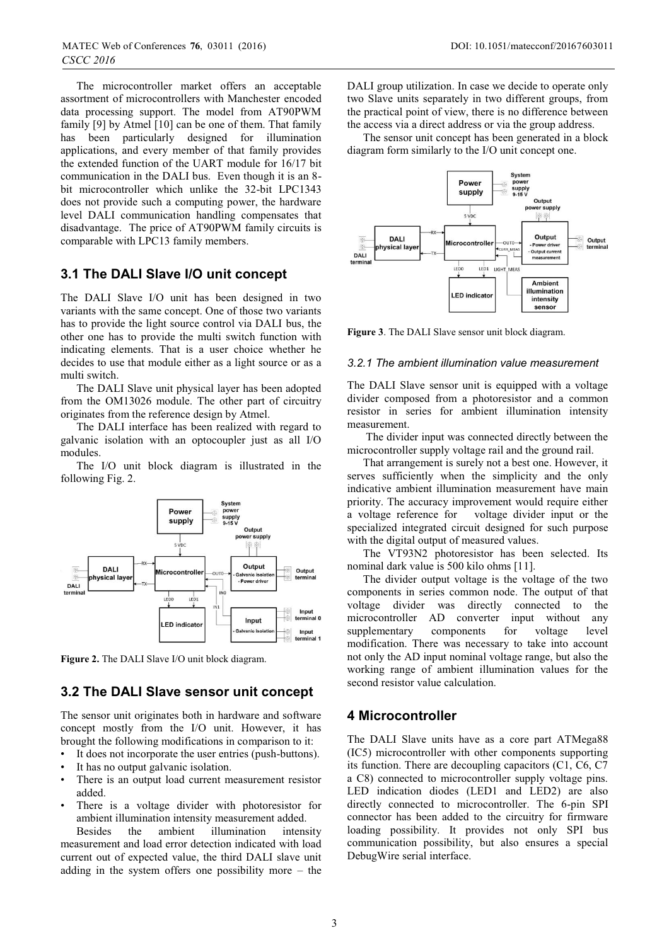The microcontroller market offers an acceptable assortment of microcontrollers with Manchester encoded data processing support. The model from AT90PWM family [9] by Atmel [10] can be one of them. That family has been particularly designed for illumination applications, and every member of that family provides the extended function of the UART module for 16/17 bit communication in the DALI bus. Even though it is an 8 bit microcontroller which unlike the 32-bit LPC1343 does not provide such a computing power, the hardware level DALI communication handling compensates that disadvantage. The price of AT90PWM family circuits is comparable with LPC13 family members.

## **3.1 The DALI Slave I/O unit concept**

The DALI Slave I/O unit has been designed in two variants with the same concept. One of those two variants has to provide the light source control via DALI bus, the other one has to provide the multi switch function with indicating elements. That is a user choice whether he decides to use that module either as a light source or as a multi switch.

The DALI Slave unit physical layer has been adopted from the OM13026 module. The other part of circuitry originates from the reference design by Atmel.

The DALI interface has been realized with regard to galvanic isolation with an optocoupler just as all I/O modules.

The I/O unit block diagram is illustrated in the following Fig. 2.



**Figure 2.** The DALI Slave I/O unit block diagram.

# **3.2 The DALI Slave sensor unit concept**

The sensor unit originates both in hardware and software concept mostly from the I/O unit. However, it has brought the following modifications in comparison to it:

- It does not incorporate the user entries (push-buttons).
- It has no output galvanic isolation.
- There is an output load current measurement resistor added.
- There is a voltage divider with photoresistor for ambient illumination intensity measurement added.

Besides the ambient illumination intensity measurement and load error detection indicated with load current out of expected value, the third DALI slave unit adding in the system offers one possibility more – the DALI group utilization. In case we decide to operate only two Slave units separately in two different groups, from the practical point of view, there is no difference between the access via a direct address or via the group address.

The sensor unit concept has been generated in a block diagram form similarly to the I/O unit concept one.



**Figure 3**. The DALI Slave sensor unit block diagram.

#### *3.2.1 The ambient illumination value measurement*

The DALI Slave sensor unit is equipped with a voltage divider composed from a photoresistor and a common resistor in series for ambient illumination intensity measurement.

 The divider input was connected directly between the microcontroller supply voltage rail and the ground rail.

That arrangement is surely not a best one. However, it serves sufficiently when the simplicity and the only indicative ambient illumination measurement have main priority. The accuracy improvement would require either a voltage reference for voltage divider input or the specialized integrated circuit designed for such purpose with the digital output of measured values.

The VT93N2 photoresistor has been selected. Its nominal dark value is 500 kilo ohms [11].

The divider output voltage is the voltage of the two components in series common node. The output of that voltage divider was directly connected to the microcontroller AD converter input without any supplementary components for voltage level modification. There was necessary to take into account not only the AD input nominal voltage range, but also the working range of ambient illumination values for the second resistor value calculation.

### **4 Microcontroller**

The DALI Slave units have as a core part ATMega88 (IC5) microcontroller with other components supporting its function. There are decoupling capacitors (C1, C6, C7 a C8) connected to microcontroller supply voltage pins. LED indication diodes (LED1 and LED2) are also directly connected to microcontroller. The 6-pin SPI connector has been added to the circuitry for firmware loading possibility. It provides not only SPI bus communication possibility, but also ensures a special DebugWire serial interface.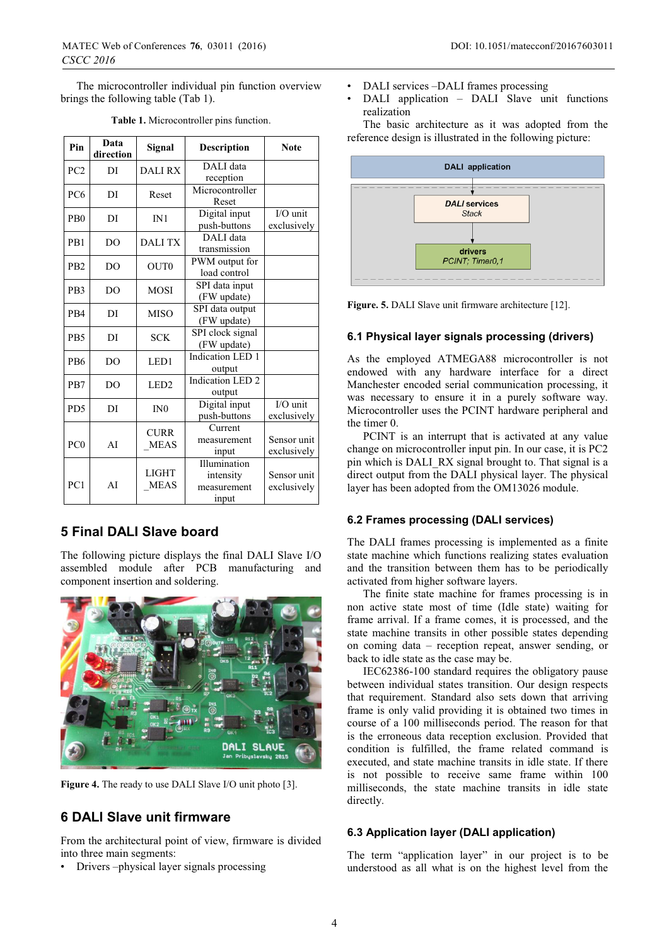The microcontroller individual pin function overview brings the following table (Tab 1).

| Pin              | Data<br>direction | Signal                      | <b>Description</b>                                | <b>Note</b>                |
|------------------|-------------------|-----------------------------|---------------------------------------------------|----------------------------|
| PC <sub>2</sub>  | DI                | <b>DALIRX</b>               | DALI data<br>reception                            |                            |
| PC <sub>6</sub>  | DI                | Reset                       | Microcontroller<br>Reset                          |                            |
| P <sub>B0</sub>  | DI                | IN1                         | Digital input<br>push-buttons                     | $I/O$ unit<br>exclusively  |
| P <sub>B</sub> 1 | DO.               | <b>DALI TX</b>              | DALI data<br>transmission                         |                            |
| P <sub>B2</sub>  | D <sub>O</sub>    | OUT <sub>0</sub>            | PWM output for<br>load control                    |                            |
| P <sub>B</sub> 3 | DO.               | <b>MOSI</b>                 | SPI data input<br>(FW update)                     |                            |
| P <sub>B4</sub>  | DI                | <b>MISO</b>                 | SPI data output<br>(FW update)                    |                            |
| P <sub>B5</sub>  | DI                | <b>SCK</b>                  | SPI clock signal<br>(FW update)                   |                            |
| P <sub>B6</sub>  | D <sub>O</sub>    | LED1                        | Indication LED 1<br>output                        |                            |
| P <sub>B7</sub>  | DO.               | LED <sub>2</sub>            | Indication LED <sub>2</sub><br>output             |                            |
| P <sub>D5</sub>  | DI                | IN <sub>0</sub>             | Digital input<br>push-buttons                     | $I/O$ unit<br>exclusively  |
| PC <sub>0</sub>  | AI                | <b>CURR</b><br><b>MEAS</b>  | Current<br>measurement<br>input                   | Sensor unit<br>exclusively |
| PC <sub>1</sub>  | AI                | <b>LIGHT</b><br><b>MEAS</b> | Illumination<br>intensity<br>measurement<br>input | Sensor unit<br>exclusively |

**Table 1.** Microcontroller pins function.

# **5 Final DALI Slave board**

The following picture displays the final DALI Slave I/O assembled module after PCB manufacturing and component insertion and soldering.



Figure 4. The ready to use DALI Slave I/O unit photo [3].

# **6 DALI Slave unit firmware**

From the architectural point of view, firmware is divided into three main segments:

• Drivers –physical layer signals processing

- DALI services -DALI frames processing
- DALI application DALI Slave unit functions realization

The basic architecture as it was adopted from the reference design is illustrated in the following picture:



Figure. 5. DALI Slave unit firmware architecture [12].

### **6.1 Physical layer signals processing (drivers)**

As the employed ATMEGA88 microcontroller is not endowed with any hardware interface for a direct Manchester encoded serial communication processing, it was necessary to ensure it in a purely software way. Microcontroller uses the PCINT hardware peripheral and the timer 0.

PCINT is an interrupt that is activated at any value change on microcontroller input pin. In our case, it is PC2 pin which is DALI\_RX signal brought to. That signal is a direct output from the DALI physical layer. The physical layer has been adopted from the OM13026 module.

#### **6.2 Frames processing (DALI services)**

The DALI frames processing is implemented as a finite state machine which functions realizing states evaluation and the transition between them has to be periodically activated from higher software layers.

The finite state machine for frames processing is in non active state most of time (Idle state) waiting for frame arrival. If a frame comes, it is processed, and the state machine transits in other possible states depending on coming data – reception repeat, answer sending, or back to idle state as the case may be.

IEC62386-100 standard requires the obligatory pause between individual states transition. Our design respects that requirement. Standard also sets down that arriving frame is only valid providing it is obtained two times in course of a 100 milliseconds period. The reason for that is the erroneous data reception exclusion. Provided that condition is fulfilled, the frame related command is executed, and state machine transits in idle state. If there is not possible to receive same frame within 100 milliseconds, the state machine transits in idle state directly.

### **6.3 Application layer (DALI application)**

The term "application layer" in our project is to be understood as all what is on the highest level from the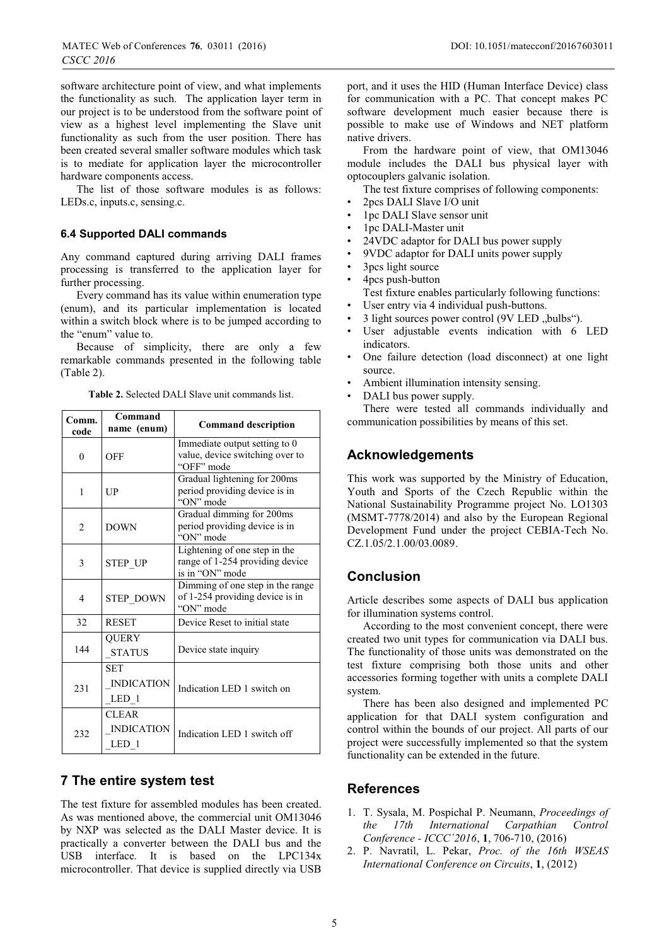software architecture point of view, and what implements the functionality as such. The application layer term in our project is to be understood from the software point of view as a highest level implementing the Slave unit functionality as such from the user position. There has been created several smaller software modules which task is to mediate for application layer the microcontroller hardware components access.

The list of those software modules is as follows: LEDs.c, inputs.c, sensing.c.

### **6.4 Supported DALI commands**

Any command captured during arriving DALI frames processing is transferred to the application layer for further processing.

Every command has its value within enumeration type (enum), and its particular implementation is located within a switch block where is to be jumped according to the "enum" value to.

Because of simplicity, there are only a few remarkable commands presented in the following table (Table 2).

**Table 2.** Selected DALI Slave unit commands list.

| Comm.<br>code  | Command<br>name (enum)                     | <b>Command description</b>                                                          |
|----------------|--------------------------------------------|-------------------------------------------------------------------------------------|
| $\theta$       | OFF                                        | Immediate output setting to 0<br>value, device switching over to<br>"OFF" mode      |
| 1              | UP                                         | Gradual lightening for 200ms<br>period providing device is in<br>"ON" mode          |
| $\overline{c}$ | <b>DOWN</b>                                | Gradual dimming for 200ms<br>period providing device is in<br>"ON" mode             |
| 3              | STEP UP                                    | Lightening of one step in the<br>range of 1-254 providing device<br>is in "ON" mode |
| 4              | <b>STEP DOWN</b>                           | Dimming of one step in the range<br>of 1-254 providing device is in<br>"ON" mode    |
| 32             | <b>RESET</b>                               | Device Reset to initial state                                                       |
| 144            | <b>QUERY</b><br><b>STATUS</b>              | Device state inquiry                                                                |
| 231            | <b>SET</b><br><b>INDICATION</b><br>LED 1   | Indication LED 1 switch on                                                          |
| 232            | <b>CLEAR</b><br><b>INDICATION</b><br>LED 1 | Indication LED 1 switch off                                                         |

### **7 The entire system test**

The test fixture for assembled modules has been created. As was mentioned above, the commercial unit OM13046 by NXP was selected as the DALI Master device. It is practically a converter between the DALI bus and the USB interface. It is based on the LPC134x microcontroller. That device is supplied directly via USB

port, and it uses the HID (Human Interface Device) class for communication with a PC. That concept makes PC software development much easier because there is possible to make use of Windows and NET platform native drivers.

From the hardware point of view, that OM13046 module includes the DALI bus physical layer with optocouplers galvanic isolation.

The test fixture comprises of following components:

- 2pcs DALI Slave I/O unit
- 1pc DALI Slave sensor unit
- 1pc DALI-Master unit
- 24VDC adaptor for DALI bus power supply
- 9VDC adaptor for DALI units power supply
- 3pcs light source
- 4pcs push-button
- Test fixture enables particularly following functions:
- User entry via 4 individual push-buttons.
- $\beta$  light sources power control (9V LED "bulbs").
- User adjustable events indication with 6 LED indicators.
- One failure detection (load disconnect) at one light source.
- Ambient illumination intensity sensing.
- DALI bus power supply.

There were tested all commands individually and communication possibilities by means of this set.

### **Acknowledgements**

This work was supported by the Ministry of Education, Youth and Sports of the Czech Republic within the National Sustainability Programme project No. LO1303 (MSMT-7778/2014) and also by the European Regional Development Fund under the project CEBIA-Tech No. CZ.1.05/2.1.00/03.0089.

# **Conclusion**

Article describes some aspects of DALI bus application for illumination systems control.

According to the most convenient concept, there were created two unit types for communication via DALI bus. The functionality of those units was demonstrated on the test fixture comprising both those units and other accessories forming together with units a complete DALI system.

There has been also designed and implemented PC application for that DALI system configuration and control within the bounds of our project. All parts of our project were successfully implemented so that the system functionality can be extended in the future.

### **References**

- 1. T. Sysala, M. Pospichal P. Neumann, *Proceedings of the 17th International Carpathian Control Conference - ICCC´2016*, **1**, 706-710, (2016)
- 2. P. Navratil, L. Pekar, *Proc. of the 16th WSEAS International Conference on Circuits*, **1**, (2012)